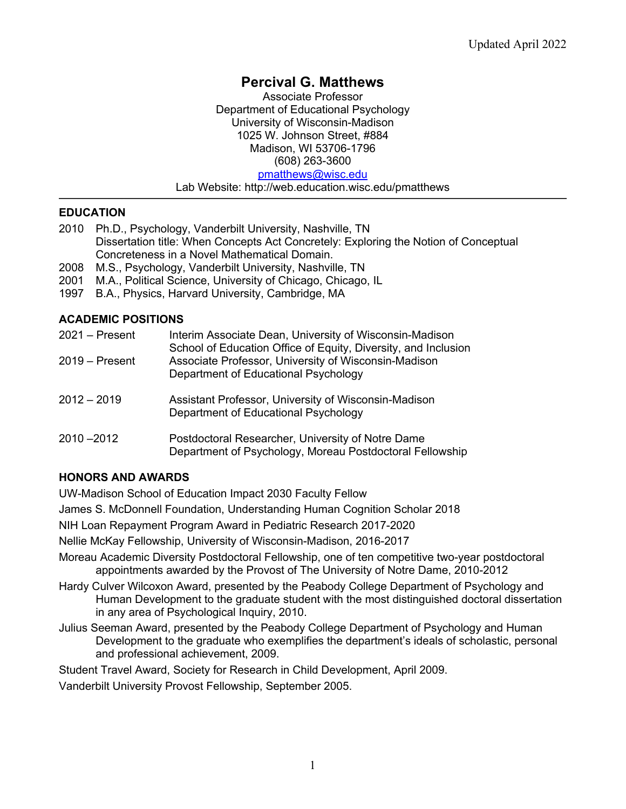# **Percival G. Matthews**

Associate Professor Department of Educational Psychology University of Wisconsin-Madison 1025 W. Johnson Street, #884 Madison, WI 53706-1796 (608) 263-3600 pmatthews@wisc.edu Lab Website: http://web.education.wisc.edu/pmatthews

#### **EDUCATION**

- 2010 Ph.D., Psychology, Vanderbilt University, Nashville, TN Dissertation title: When Concepts Act Concretely: Exploring the Notion of Conceptual Concreteness in a Novel Mathematical Domain.
- 2008 M.S., Psychology, Vanderbilt University, Nashville, TN
- 2001 M.A., Political Science, University of Chicago, Chicago, IL
- 1997 B.A., Physics, Harvard University, Cambridge, MA

#### **ACADEMIC POSITIONS**

| $2021 -$ Present | Interim Associate Dean, University of Wisconsin-Madison<br>School of Education Office of Equity, Diversity, and Inclusion |
|------------------|---------------------------------------------------------------------------------------------------------------------------|
| $2019 -$ Present | Associate Professor, University of Wisconsin-Madison<br>Department of Educational Psychology                              |
| $2012 - 2019$    | Assistant Professor, University of Wisconsin-Madison<br>Department of Educational Psychology                              |
| $2010 - 2012$    | Postdoctoral Researcher, University of Notre Dame<br>Department of Psychology, Moreau Postdoctoral Fellowship             |

## **HONORS AND AWARDS**

UW-Madison School of Education Impact 2030 Faculty Fellow

James S. McDonnell Foundation, Understanding Human Cognition Scholar 2018

NIH Loan Repayment Program Award in Pediatric Research 2017-2020

Nellie McKay Fellowship, University of Wisconsin-Madison, 2016-2017

- Moreau Academic Diversity Postdoctoral Fellowship, one of ten competitive two-year postdoctoral appointments awarded by the Provost of The University of Notre Dame, 2010-2012
- Hardy Culver Wilcoxon Award, presented by the Peabody College Department of Psychology and Human Development to the graduate student with the most distinguished doctoral dissertation in any area of Psychological Inquiry, 2010.
- Julius Seeman Award, presented by the Peabody College Department of Psychology and Human Development to the graduate who exemplifies the department's ideals of scholastic, personal and professional achievement, 2009.

Student Travel Award, Society for Research in Child Development, April 2009.

Vanderbilt University Provost Fellowship, September 2005.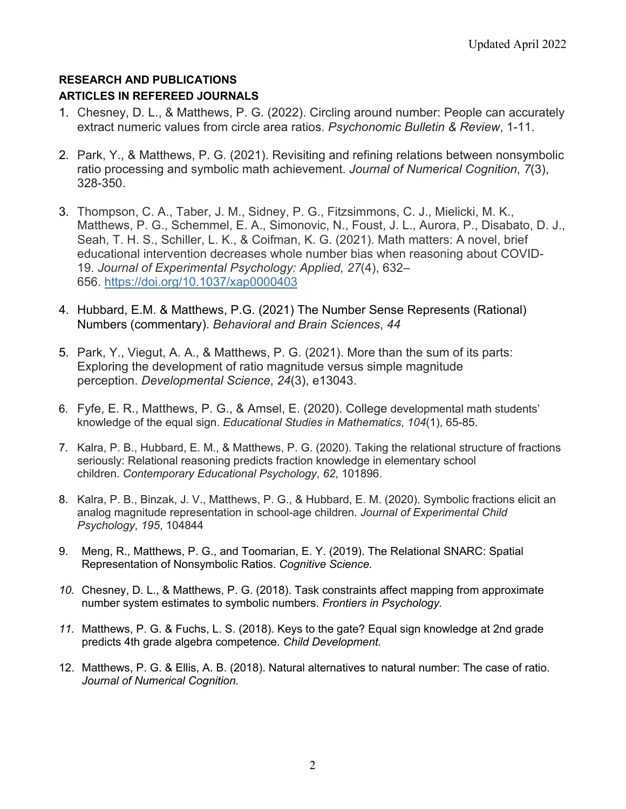#### **RESEARCH AND PUBLICATIONS ARTICLES IN REFEREED JOURNALS**

- 1. Chesney, D. L., & Matthews, P. G. (2022). Circling around number: People can accurately extract numeric values from circle area ratios. *Psychonomic Bulletin & Review*, 1-11.
- 2. Park, Y., & Matthews, P. G. (2021). Revisiting and refining relations between nonsymbolic ratio processing and symbolic math achievement. *Journal of Numerical Cognition*, *7*(3), 328-350.
- 3. Thompson, C. A., Taber, J. M., Sidney, P. G., Fitzsimmons, C. J., Mielicki, M. K., Matthews, P. G., Schemmel, E. A., Simonovic, N., Foust, J. L., Aurora, P., Disabato, D. J., Seah, T. H. S., Schiller, L. K., & Coifman, K. G. (2021). Math matters: A novel, brief educational intervention decreases whole number bias when reasoning about COVID-19. *Journal of Experimental Psychology: Applied, 27*(4), 632– 656. https://doi.org/10.1037/xap0000403
- 4. Hubbard, E.M. & Matthews, P.G. (2021) The Number Sense Represents (Rational) Numbers (commentary). *Behavioral and Brain Sciences*, *44*
- 5. Park, Y., Viegut, A. A., & Matthews, P. G. (2021). More than the sum of its parts: Exploring the development of ratio magnitude versus simple magnitude perception. *Developmental Science*, *24*(3), e13043.
- 6. Fyfe, E. R., Matthews, P. G., & Amsel, E. (2020). College developmental math students' knowledge of the equal sign. *Educational Studies in Mathematics*, *104*(1), 65-85.
- 7. Kalra, P. B., Hubbard, E. M., & Matthews, P. G. (2020). Taking the relational structure of fractions seriously: Relational reasoning predicts fraction knowledge in elementary school children. *Contemporary Educational Psychology*, *62*, 101896.
- 8. Kalra, P. B., Binzak, J. V., Matthews, P. G., & Hubbard, E. M. (2020). Symbolic fractions elicit an analog magnitude representation in school-age children. *Journal of Experimental Child Psychology*, *195*, 104844
- 9. Meng, R., Matthews, P. G., and Toomarian, E. Y. (2019). The Relational SNARC: Spatial Representation of Nonsymbolic Ratios. *Cognitive Science.*
- *10.* Chesney, D. L., & Matthews, P. G. (2018). Task constraints affect mapping from approximate number system estimates to symbolic numbers. *Frontiers in Psychology.*
- *11.* Matthews, P. G. & Fuchs, L. S. (2018). Keys to the gate? Equal sign knowledge at 2nd grade predicts 4th grade algebra competence. *Child Development.*
- 12. Matthews, P. G. & Ellis, A. B. (2018). Natural alternatives to natural number: The case of ratio. *Journal of Numerical Cognition.*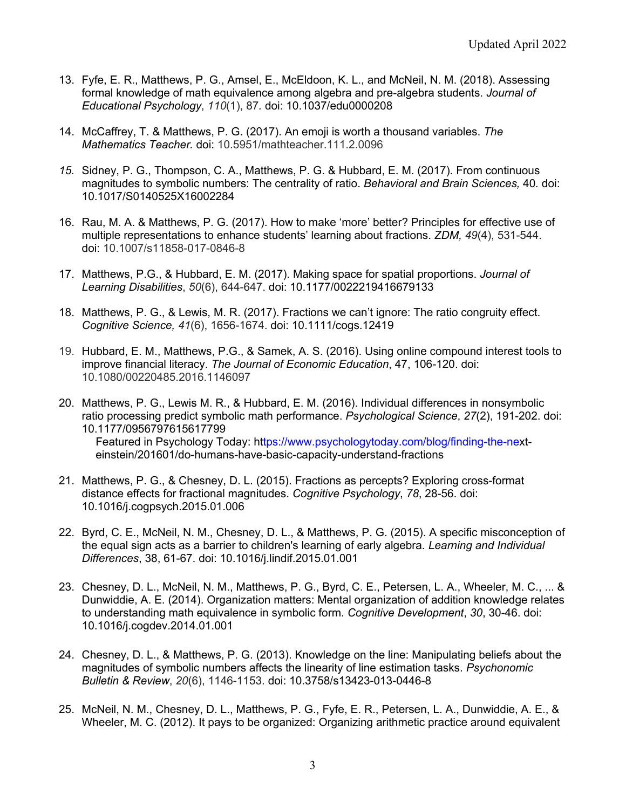- 13. Fyfe, E. R., Matthews, P. G., Amsel, E., McEldoon, K. L., and McNeil, N. M. (2018). Assessing formal knowledge of math equivalence among algebra and pre-algebra students. *Journal of Educational Psychology*, *110*(1), 87*.* doi: 10.1037/edu0000208
- 14. McCaffrey, T. & Matthews, P. G. (2017). An emoji is worth a thousand variables. *The Mathematics Teacher.* doi: 10.5951/mathteacher.111.2.0096
- *15.* Sidney, P. G., Thompson, C. A., Matthews, P. G. & Hubbard, E. M. (2017). From continuous magnitudes to symbolic numbers: The centrality of ratio. *Behavioral and Brain Sciences,* 40*.* doi: 10.1017/S0140525X16002284
- 16. Rau, M. A. & Matthews, P. G. (2017). How to make 'more' better? Principles for effective use of multiple representations to enhance students' learning about fractions. *ZDM, 49*(4), 531-544. doi: 10.1007/s11858-017-0846-8
- 17. Matthews, P.G., & Hubbard, E. M. (2017). Making space for spatial proportions. *Journal of Learning Disabilities*, *50*(6), 644-647. doi: 10.1177/0022219416679133
- 18. Matthews, P. G., & Lewis, M. R. (2017). Fractions we can't ignore: The ratio congruity effect. *Cognitive Science, 41*(6), 1656-1674. doi: 10.1111/cogs.12419
- 19. Hubbard, E. M., Matthews, P.G., & Samek, A. S. (2016). Using online compound interest tools to improve financial literacy. *The Journal of Economic Education*, 47, 106-120. doi: 10.1080/00220485.2016.1146097
- 20. Matthews, P. G., Lewis M. R., & Hubbard, E. M. (2016). Individual differences in nonsymbolic ratio processing predict symbolic math performance. *Psychological Science*, *27*(2), 191-202. doi: 10.1177/0956797615617799 Featured in Psychology Today: https://www.psychologytoday.com/blog/finding-the-nexteinstein/201601/do-humans-have-basic-capacity-understand-fractions
- 21. Matthews, P. G., & Chesney, D. L. (2015). Fractions as percepts? Exploring cross-format distance effects for fractional magnitudes. *Cognitive Psychology*, *78*, 28-56. doi: 10.1016/j.cogpsych.2015.01.006
- 22. Byrd, C. E., McNeil, N. M., Chesney, D. L., & Matthews, P. G. (2015). A specific misconception of the equal sign acts as a barrier to children's learning of early algebra. *Learning and Individual Differences*, 38, 61-67. doi: 10.1016/j.lindif.2015.01.001
- 23. Chesney, D. L., McNeil, N. M., Matthews, P. G., Byrd, C. E., Petersen, L. A., Wheeler, M. C., ... & Dunwiddie, A. E. (2014). Organization matters: Mental organization of addition knowledge relates to understanding math equivalence in symbolic form. *Cognitive Development*, *30*, 30-46. doi: 10.1016/j.cogdev.2014.01.001
- 24. Chesney, D. L., & Matthews, P. G. (2013). Knowledge on the line: Manipulating beliefs about the magnitudes of symbolic numbers affects the linearity of line estimation tasks. *Psychonomic Bulletin & Review*, *20*(6), 1146-1153. doi: 10.3758/s13423-013-0446-8
- 25. McNeil, N. M., Chesney, D. L., Matthews, P. G., Fyfe, E. R., Petersen, L. A., Dunwiddie, A. E., & Wheeler, M. C. (2012). It pays to be organized: Organizing arithmetic practice around equivalent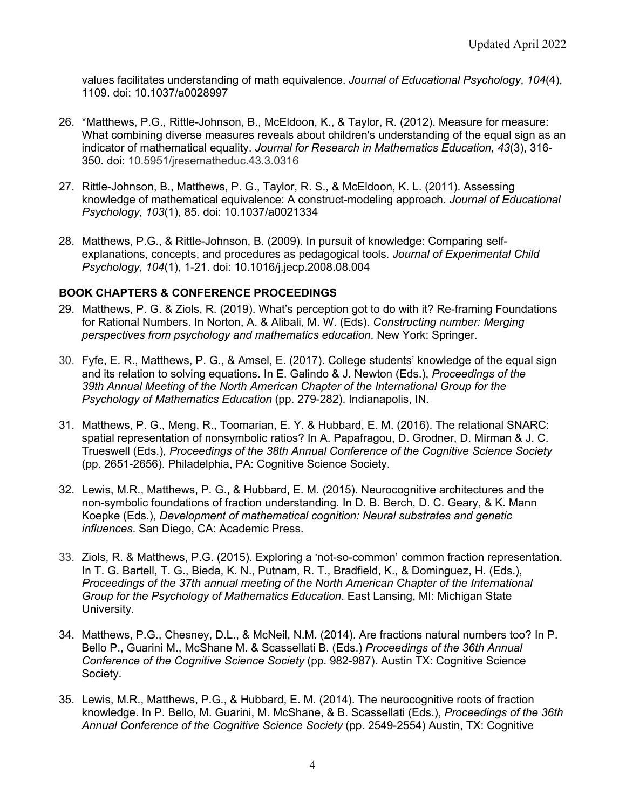values facilitates understanding of math equivalence. *Journal of Educational Psychology*, *104*(4), 1109. doi: 10.1037/a0028997

- 26. \*Matthews, P.G., Rittle-Johnson, B., McEldoon, K., & Taylor, R. (2012). Measure for measure: What combining diverse measures reveals about children's understanding of the equal sign as an indicator of mathematical equality. *Journal for Research in Mathematics Education*, *43*(3), 316- 350. doi: 10.5951/jresematheduc.43.3.0316
- 27. Rittle-Johnson, B., Matthews, P. G., Taylor, R. S., & McEldoon, K. L. (2011). Assessing knowledge of mathematical equivalence: A construct-modeling approach. *Journal of Educational Psychology*, *103*(1), 85. doi: 10.1037/a0021334
- 28. Matthews, P.G., & Rittle-Johnson, B. (2009). In pursuit of knowledge: Comparing selfexplanations, concepts, and procedures as pedagogical tools. *Journal of Experimental Child Psychology*, *104*(1), 1-21. doi: 10.1016/j.jecp.2008.08.004

#### **BOOK CHAPTERS & CONFERENCE PROCEEDINGS**

- 29. Matthews, P. G. & Ziols, R. (2019). What's perception got to do with it? Re-framing Foundations for Rational Numbers. In Norton, A. & Alibali, M. W. (Eds). *Constructing number: Merging perspectives from psychology and mathematics education*. New York: Springer.
- 30. Fyfe, E. R., Matthews, P. G., & Amsel, E. (2017). College students' knowledge of the equal sign and its relation to solving equations. In E. Galindo & J. Newton (Eds.), *Proceedings of the 39th Annual Meeting of the North American Chapter of the International Group for the Psychology of Mathematics Education* (pp. 279-282). Indianapolis, IN.
- 31. Matthews, P. G., Meng, R., Toomarian, E. Y. & Hubbard, E. M. (2016). The relational SNARC: spatial representation of nonsymbolic ratios? In A. Papafragou, D. Grodner, D. Mirman & J. C. Trueswell (Eds.), *Proceedings of the 38th Annual Conference of the Cognitive Science Society* (pp. 2651-2656). Philadelphia, PA: Cognitive Science Society.
- 32. Lewis, M.R., Matthews, P. G., & Hubbard, E. M. (2015). Neurocognitive architectures and the non-symbolic foundations of fraction understanding. In D. B. Berch, D. C. Geary, & K. Mann Koepke (Eds.), *Development of mathematical cognition: Neural substrates and genetic influences*. San Diego, CA: Academic Press.
- 33. Ziols, R. & Matthews, P.G. (2015). Exploring a 'not-so-common' common fraction representation. In T. G. Bartell, T. G., Bieda, K. N., Putnam, R. T., Bradfield, K., & Dominguez, H. (Eds.), *Proceedings of the 37th annual meeting of the North American Chapter of the International Group for the Psychology of Mathematics Education*. East Lansing, MI: Michigan State University.
- 34. Matthews, P.G., Chesney, D.L., & McNeil, N.M. (2014). Are fractions natural numbers too? In P. Bello P., Guarini M., McShane M. & Scassellati B. (Eds.) *Proceedings of the 36th Annual Conference of the Cognitive Science Society* (pp. 982-987). Austin TX: Cognitive Science Society.
- 35. Lewis, M.R., Matthews, P.G., & Hubbard, E. M. (2014). The neurocognitive roots of fraction knowledge. In P. Bello, M. Guarini, M. McShane, & B. Scassellati (Eds.), *Proceedings of the 36th Annual Conference of the Cognitive Science Society* (pp. 2549-2554) Austin, TX: Cognitive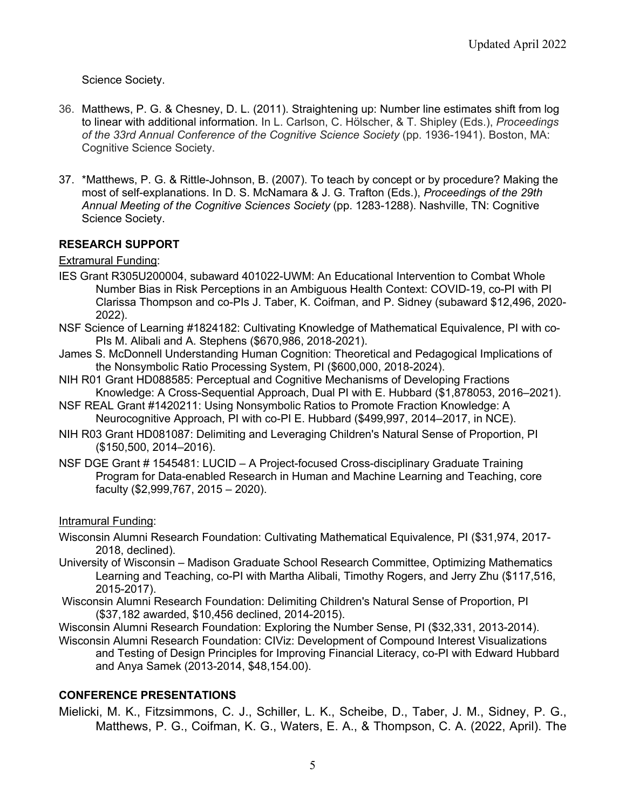Science Society.

- 36. Matthews, P. G. & Chesney, D. L. (2011). Straightening up: Number line estimates shift from log to linear with additional information. In L. Carlson, C. Hölscher, & T. Shipley (Eds.), *Proceedings of the 33rd Annual Conference of the Cognitive Science Society* (pp. 1936-1941). Boston, MA: Cognitive Science Society.
- 37. \*Matthews, P. G. & Rittle-Johnson, B. (2007). To teach by concept or by procedure? Making the most of self-explanations. In D. S. McNamara & J. G. Trafton (Eds.), *Proceeding*s *of the 29th Annual Meeting of the Cognitive Sciences Society* (pp. 1283-1288). Nashville, TN: Cognitive Science Society.

#### **RESEARCH SUPPORT**

Extramural Funding:

- IES Grant R305U200004, subaward 401022-UWM: An Educational Intervention to Combat Whole Number Bias in Risk Perceptions in an Ambiguous Health Context: COVID-19, co-PI with PI Clarissa Thompson and co-PIs J. Taber, K. Coifman, and P. Sidney (subaward \$12,496, 2020- 2022).
- NSF Science of Learning #1824182: Cultivating Knowledge of Mathematical Equivalence, PI with co-PIs M. Alibali and A. Stephens (\$670,986, 2018-2021).
- James S. McDonnell Understanding Human Cognition: Theoretical and Pedagogical Implications of the Nonsymbolic Ratio Processing System, PI (\$600,000, 2018-2024).
- NIH R01 Grant HD088585: Perceptual and Cognitive Mechanisms of Developing Fractions Knowledge: A Cross-Sequential Approach, Dual PI with E. Hubbard (\$1,878053, 2016–2021).
- NSF REAL Grant #1420211: Using Nonsymbolic Ratios to Promote Fraction Knowledge: A Neurocognitive Approach, PI with co-PI E. Hubbard (\$499,997, 2014–2017, in NCE).
- NIH R03 Grant HD081087: Delimiting and Leveraging Children's Natural Sense of Proportion, PI (\$150,500, 2014–2016).
- NSF DGE Grant # 1545481: LUCID A Project-focused Cross-disciplinary Graduate Training Program for Data-enabled Research in Human and Machine Learning and Teaching, core faculty (\$2,999,767, 2015 – 2020).

Intramural Funding:

- Wisconsin Alumni Research Foundation: Cultivating Mathematical Equivalence, PI (\$31,974, 2017- 2018, declined).
- University of Wisconsin Madison Graduate School Research Committee, Optimizing Mathematics Learning and Teaching, co-PI with Martha Alibali, Timothy Rogers, and Jerry Zhu (\$117,516, 2015-2017).
- Wisconsin Alumni Research Foundation: Delimiting Children's Natural Sense of Proportion, PI (\$37,182 awarded, \$10,456 declined, 2014-2015).
- Wisconsin Alumni Research Foundation: Exploring the Number Sense, PI (\$32,331, 2013-2014).
- Wisconsin Alumni Research Foundation: CIViz: Development of Compound Interest Visualizations and Testing of Design Principles for Improving Financial Literacy, co-PI with Edward Hubbard and Anya Samek (2013-2014, \$48,154.00).

#### **CONFERENCE PRESENTATIONS**

Mielicki, M. K., Fitzsimmons, C. J., Schiller, L. K., Scheibe, D., Taber, J. M., Sidney, P. G., Matthews, P. G., Coifman, K. G., Waters, E. A., & Thompson, C. A. (2022, April). The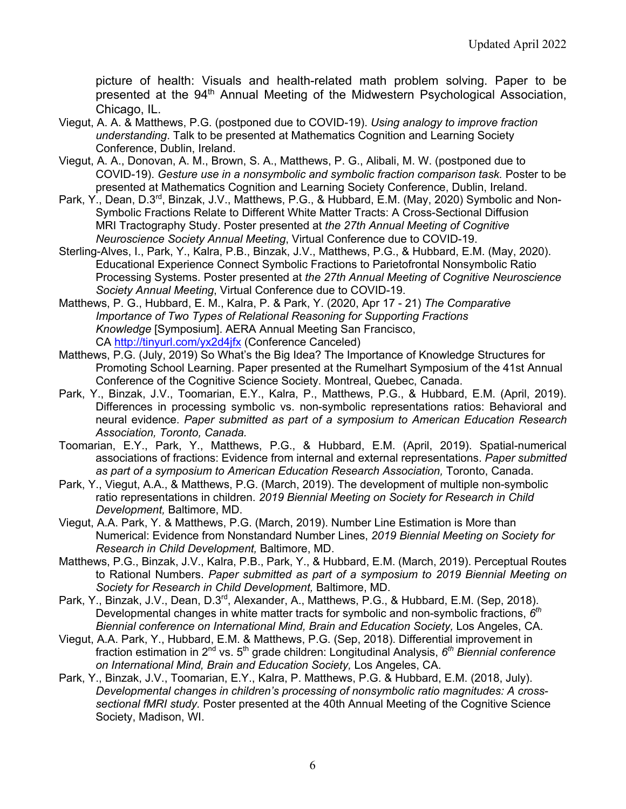picture of health: Visuals and health-related math problem solving. Paper to be presented at the 94<sup>th</sup> Annual Meeting of the Midwestern Psychological Association, Chicago, IL.

- Viegut, A. A. & Matthews, P.G. (postponed due to COVID-19). *Using analogy to improve fraction understanding*. Talk to be presented at Mathematics Cognition and Learning Society Conference, Dublin, Ireland.
- Viegut, A. A., Donovan, A. M., Brown, S. A., Matthews, P. G., Alibali, M. W. (postponed due to COVID-19). *Gesture use in a nonsymbolic and symbolic fraction comparison task.* Poster to be presented at Mathematics Cognition and Learning Society Conference, Dublin, Ireland.
- Park, Y., Dean, D.3<sup>rd</sup>, Binzak, J.V., Matthews, P.G., & Hubbard, E.M. (May, 2020) Symbolic and Non-Symbolic Fractions Relate to Different White Matter Tracts: A Cross-Sectional Diffusion MRI Tractography Study. Poster presented at *the 27th Annual Meeting of Cognitive Neuroscience Society Annual Meeting*, Virtual Conference due to COVID-19.
- Sterling-Alves, I., Park, Y., Kalra, P.B., Binzak, J.V., Matthews, P.G., & Hubbard, E.M. (May, 2020). Educational Experience Connect Symbolic Fractions to Parietofrontal Nonsymbolic Ratio Processing Systems. Poster presented at *the 27th Annual Meeting of Cognitive Neuroscience Society Annual Meeting*, Virtual Conference due to COVID-19.
- Matthews, P. G., Hubbard, E. M., Kalra, P. & Park, Y. (2020, Apr 17 21) *The Comparative Importance of Two Types of Relational Reasoning for Supporting Fractions Knowledge* [Symposium]. AERA Annual Meeting San Francisco, CA http://tinyurl.com/yx2d4jfx (Conference Canceled)
- Matthews, P.G. (July, 2019) So What's the Big Idea? The Importance of Knowledge Structures for Promoting School Learning. Paper presented at the Rumelhart Symposium of the 41st Annual Conference of the Cognitive Science Society. Montreal, Quebec, Canada.
- Park, Y., Binzak, J.V., Toomarian, E.Y., Kalra, P., Matthews, P.G., & Hubbard, E.M. (April, 2019). Differences in processing symbolic vs. non-symbolic representations ratios: Behavioral and neural evidence. *Paper submitted as part of a symposium to American Education Research Association, Toronto, Canada.*
- Toomarian, E.Y., Park, Y., Matthews, P.G., & Hubbard, E.M. (April, 2019). Spatial-numerical associations of fractions: Evidence from internal and external representations. *Paper submitted*  as part of a symposium to American Education Research Association, Toronto, Canada.
- Park, Y., Viegut, A.A., & Matthews, P.G. (March, 2019). The development of multiple non-symbolic ratio representations in children. *2019 Biennial Meeting on Society for Research in Child Development,* Baltimore, MD.
- Viegut, A.A. Park, Y. & Matthews, P.G. (March, 2019). Number Line Estimation is More than Numerical: Evidence from Nonstandard Number Lines, *2019 Biennial Meeting on Society for Research in Child Development,* Baltimore, MD.
- Matthews, P.G., Binzak, J.V., Kalra, P.B., Park, Y., & Hubbard, E.M. (March, 2019). Perceptual Routes to Rational Numbers. *Paper submitted as part of a symposium to 2019 Biennial Meeting on Society for Research in Child Development,* Baltimore, MD.
- Park, Y., Binzak, J.V., Dean, D.3<sup>rd</sup>, Alexander, A., Matthews, P.G., & Hubbard, E.M. (Sep, 2018). Developmental changes in white matter tracts for symbolic and non-symbolic fractions, *6th Biennial conference on International Mind, Brain and Education Society,* Los Angeles, CA.
- Viegut, A.A. Park, Y., Hubbard, E.M. & Matthews, P.G. (Sep, 2018). Differential improvement in fraction estimation in 2<sup>nd</sup> vs. 5<sup>th</sup> grade children: Longitudinal Analysis, 6<sup>th</sup> Biennial conference *on International Mind, Brain and Education Society,* Los Angeles, CA.
- Park, Y., Binzak, J.V., Toomarian, E.Y., Kalra, P. Matthews, P.G. & Hubbard, E.M. (2018, July). *Developmental changes in children's processing of nonsymbolic ratio magnitudes: A crosssectional fMRI study.* Poster presented at the 40th Annual Meeting of the Cognitive Science Society, Madison, WI.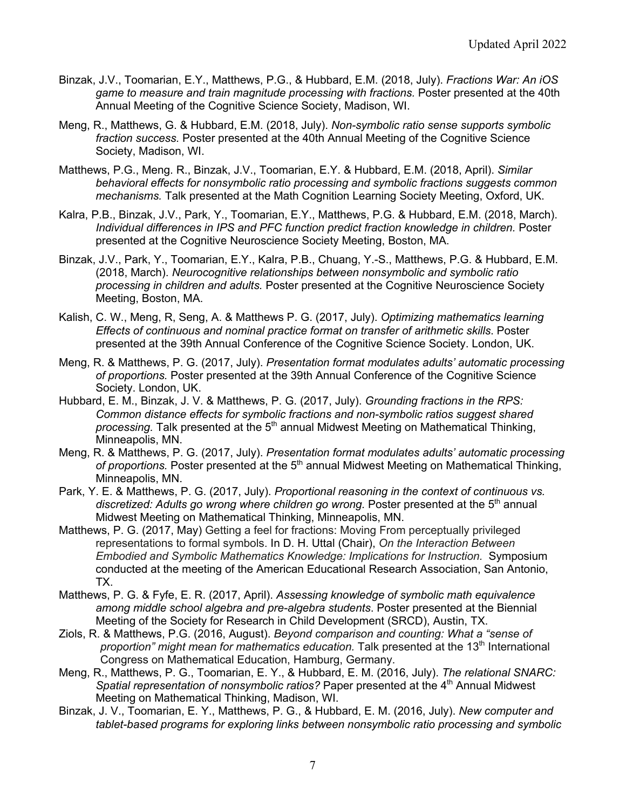- Binzak, J.V., Toomarian, E.Y., Matthews, P.G., & Hubbard, E.M. (2018, July). *Fractions War: An iOS game to measure and train magnitude processing with fractions.* Poster presented at the 40th Annual Meeting of the Cognitive Science Society, Madison, WI.
- Meng, R., Matthews, G. & Hubbard, E.M. (2018, July). *Non-symbolic ratio sense supports symbolic fraction success.* Poster presented at the 40th Annual Meeting of the Cognitive Science Society, Madison, WI.
- Matthews, P.G., Meng. R., Binzak, J.V., Toomarian, E.Y. & Hubbard, E.M. (2018, April). *Similar behavioral effects for nonsymbolic ratio processing and symbolic fractions suggests common mechanisms.* Talk presented at the Math Cognition Learning Society Meeting, Oxford, UK.
- Kalra, P.B., Binzak, J.V., Park, Y., Toomarian, E.Y., Matthews, P.G. & Hubbard, E.M. (2018, March). Individual differences in IPS and PFC function predict fraction knowledge in children. Poster presented at the Cognitive Neuroscience Society Meeting, Boston, MA.
- Binzak, J.V., Park, Y., Toomarian, E.Y., Kalra, P.B., Chuang, Y.-S., Matthews, P.G. & Hubbard, E.M. (2018, March). *Neurocognitive relationships between nonsymbolic and symbolic ratio processing in children and adults.* Poster presented at the Cognitive Neuroscience Society Meeting, Boston, MA.
- Kalish, C. W., Meng, R, Seng, A. & Matthews P. G. (2017, July). *Optimizing mathematics learning Effects of continuous and nominal practice format on transfer of arithmetic skills*. Poster presented at the 39th Annual Conference of the Cognitive Science Society. London, UK.
- Meng, R. & Matthews, P. G. (2017, July). *Presentation format modulates adults' automatic processing of proportions.* Poster presented at the 39th Annual Conference of the Cognitive Science Society. London, UK.
- Hubbard, E. M., Binzak, J. V. & Matthews, P. G. (2017, July). *Grounding fractions in the RPS: Common distance effects for symbolic fractions and non-symbolic ratios suggest shared processing.* Talk presented at the 5<sup>th</sup> annual Midwest Meeting on Mathematical Thinking, Minneapolis, MN.
- Meng, R. & Matthews, P. G. (2017, July). *Presentation format modulates adults' automatic processing*  of proportions. Poster presented at the 5<sup>th</sup> annual Midwest Meeting on Mathematical Thinking, Minneapolis, MN.
- Park, Y. E. & Matthews, P. G. (2017, July). *Proportional reasoning in the context of continuous vs.*  discretized: Adults go wrong where children go wrong. Poster presented at the 5<sup>th</sup> annual Midwest Meeting on Mathematical Thinking, Minneapolis, MN.
- Matthews, P. G. (2017, May) Getting a feel for fractions: Moving From perceptually privileged representations to formal symbols. In D. H. Uttal (Chair), *On the Interaction Between Embodied and Symbolic Mathematics Knowledge: Implications for Instruction.* Symposium conducted at the meeting of the American Educational Research Association, San Antonio, TX.
- Matthews, P. G. & Fyfe, E. R. (2017, April). *Assessing knowledge of symbolic math equivalence among middle school algebra and pre-algebra students*. Poster presented at the Biennial Meeting of the Society for Research in Child Development (SRCD), Austin, TX.
- Ziols, R. & Matthews, P.G. (2016, August). *Beyond comparison and counting: What a "sense of proportion" might mean for mathematics education.* Talk presented at the 13<sup>th</sup> International Congress on Mathematical Education, Hamburg, Germany.
- Meng, R., Matthews, P. G., Toomarian, E. Y., & Hubbard, E. M. (2016, July). *The relational SNARC: Spatial representation of nonsymbolic ratios?* Paper presented at the 4<sup>th</sup> Annual Midwest Meeting on Mathematical Thinking, Madison, WI.
- Binzak, J. V., Toomarian, E. Y., Matthews, P. G., & Hubbard, E. M. (2016, July). *New computer and tablet-based programs for exploring links between nonsymbolic ratio processing and symbolic*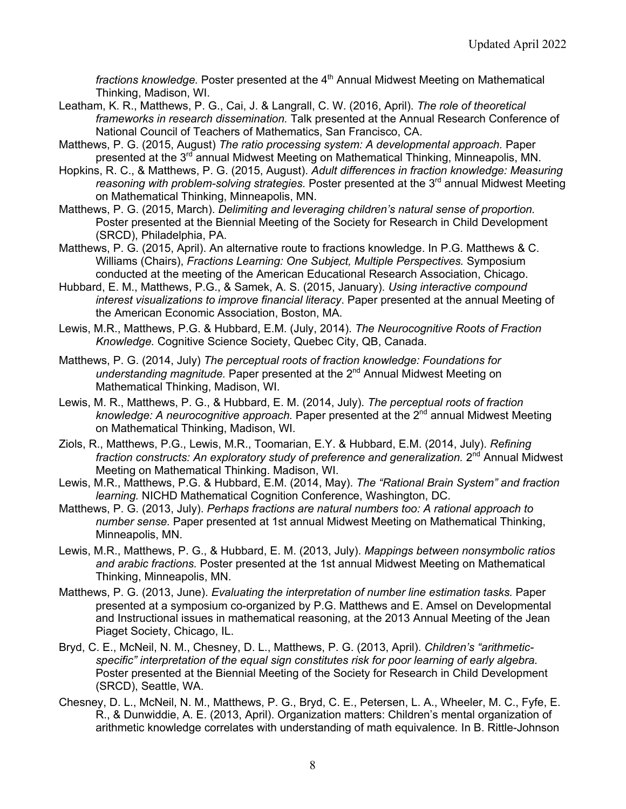*fractions knowledge.* Poster presented at the 4<sup>th</sup> Annual Midwest Meeting on Mathematical Thinking, Madison, WI.

- Leatham, K. R., Matthews, P. G., Cai, J. & Langrall, C. W. (2016, April). *The role of theoretical frameworks in research dissemination.* Talk presented at the Annual Research Conference of National Council of Teachers of Mathematics, San Francisco, CA.
- Matthews, P. G. (2015, August) *The ratio processing system: A developmental approach.* Paper presented at the 3<sup>rd</sup> annual Midwest Meeting on Mathematical Thinking, Minneapolis, MN.
- Hopkins, R. C., & Matthews, P. G. (2015, August). *Adult differences in fraction knowledge: Measuring*  reasoning with problem-solving strategies. Poster presented at the 3<sup>rd</sup> annual Midwest Meeting on Mathematical Thinking, Minneapolis, MN.
- Matthews, P. G. (2015, March). *Delimiting and leveraging children's natural sense of proportion.*  Poster presented at the Biennial Meeting of the Society for Research in Child Development (SRCD), Philadelphia, PA.
- Matthews, P. G. (2015, April). An alternative route to fractions knowledge. In P.G. Matthews & C. Williams (Chairs), *Fractions Learning: One Subject, Multiple Perspectives.* Symposium conducted at the meeting of the American Educational Research Association, Chicago.
- Hubbard, E. M., Matthews, P.G., & Samek, A. S. (2015, January). *Using interactive compound interest visualizations to improve financial literacy*. Paper presented at the annual Meeting of the American Economic Association, Boston, MA.
- Lewis, M.R., Matthews, P.G. & Hubbard, E.M. (July, 2014). *The Neurocognitive Roots of Fraction Knowledge.* Cognitive Science Society, Quebec City, QB, Canada.
- Matthews, P. G. (2014, July) *The perceptual roots of fraction knowledge: Foundations for understanding magnitude.* Paper presented at the 2<sup>nd</sup> Annual Midwest Meeting on Mathematical Thinking, Madison, WI.
- Lewis, M. R., Matthews, P. G., & Hubbard, E. M. (2014, July). *The perceptual roots of fraction*  knowledge: A neurocognitive approach. Paper presented at the 2<sup>nd</sup> annual Midwest Meeting on Mathematical Thinking, Madison, WI.
- Ziols, R., Matthews, P.G., Lewis, M.R., Toomarian, E.Y. & Hubbard, E.M. (2014, July). *Refining*  fraction constructs: An exploratory study of preference and generalization. 2<sup>nd</sup> Annual Midwest Meeting on Mathematical Thinking. Madison, WI.
- Lewis, M.R., Matthews, P.G. & Hubbard, E.M. (2014, May). *The "Rational Brain System" and fraction learning.* NICHD Mathematical Cognition Conference, Washington, DC.
- Matthews, P. G. (2013, July). *Perhaps fractions are natural numbers too: A rational approach to number sense.* Paper presented at 1st annual Midwest Meeting on Mathematical Thinking, Minneapolis, MN.
- Lewis, M.R., Matthews, P. G., & Hubbard, E. M. (2013, July). *Mappings between nonsymbolic ratios and arabic fractions.* Poster presented at the 1st annual Midwest Meeting on Mathematical Thinking, Minneapolis, MN.
- Matthews, P. G. (2013, June). *Evaluating the interpretation of number line estimation tasks.* Paper presented at a symposium co-organized by P.G. Matthews and E. Amsel on Developmental and Instructional issues in mathematical reasoning, at the 2013 Annual Meeting of the Jean Piaget Society, Chicago, IL.
- Bryd, C. E., McNeil, N. M., Chesney, D. L., Matthews, P. G. (2013, April). *Children's "arithmeticspecific" interpretation of the equal sign constitutes risk for poor learning of early algebra*. Poster presented at the Biennial Meeting of the Society for Research in Child Development (SRCD), Seattle, WA.
- Chesney, D. L., McNeil, N. M., Matthews, P. G., Bryd, C. E., Petersen, L. A., Wheeler, M. C., Fyfe, E. R., & Dunwiddie, A. E. (2013, April). Organization matters: Children's mental organization of arithmetic knowledge correlates with understanding of math equivalence*.* In B. Rittle-Johnson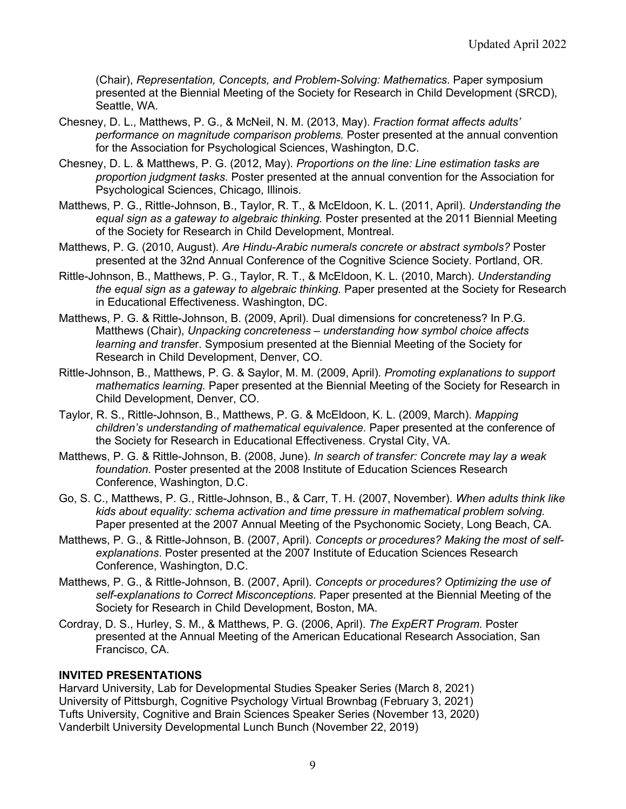(Chair), *Representation, Concepts, and Problem-Solving: Mathematics*. Paper symposium presented at the Biennial Meeting of the Society for Research in Child Development (SRCD), Seattle, WA.

- Chesney, D. L., Matthews, P. G., & McNeil, N. M. (2013, May). *Fraction format affects adults' performance on magnitude comparison problems.* Poster presented at the annual convention for the Association for Psychological Sciences, Washington, D.C.
- Chesney, D. L. & Matthews, P. G. (2012, May). *Proportions on the line: Line estimation tasks are proportion judgment tasks*. Poster presented at the annual convention for the Association for Psychological Sciences, Chicago, Illinois.
- Matthews, P. G., Rittle-Johnson, B., Taylor, R. T., & McEldoon, K. L. (2011, April). *Understanding the equal sign as a gateway to algebraic thinking.* Poster presented at the 2011 Biennial Meeting of the Society for Research in Child Development, Montreal.
- Matthews, P. G. (2010, August). *Are Hindu-Arabic numerals concrete or abstract symbols?* Poster presented at the 32nd Annual Conference of the Cognitive Science Society. Portland, OR.
- Rittle-Johnson, B., Matthews, P. G., Taylor, R. T., & McEldoon, K. L. (2010, March). *Understanding the equal sign as a gateway to algebraic thinking.* Paper presented at the Society for Research in Educational Effectiveness. Washington, DC.
- Matthews, P. G. & Rittle-Johnson, B. (2009, April). Dual dimensions for concreteness? In P.G. Matthews (Chair), *Unpacking concreteness – understanding how symbol choice affects learning and transfe*r. Symposium presented at the Biennial Meeting of the Society for Research in Child Development, Denver, CO.
- Rittle-Johnson, B., Matthews, P. G. & Saylor, M. M. (2009, April). *Promoting explanations to support mathematics learning.* Paper presented at the Biennial Meeting of the Society for Research in Child Development, Denver, CO.
- Taylor, R. S., Rittle-Johnson, B., Matthews, P. G. & McEldoon, K. L. (2009, March). *Mapping children's understanding of mathematical equivalence.* Paper presented at the conference of the Society for Research in Educational Effectiveness. Crystal City, VA.
- Matthews, P. G. & Rittle-Johnson, B. (2008, June). *In search of transfer: Concrete may lay a weak foundation.* Poster presented at the 2008 Institute of Education Sciences Research Conference, Washington, D.C.
- Go, S. C., Matthews, P. G., Rittle-Johnson, B., & Carr, T. H. (2007, November). *When adults think like kids about equality: schema activation and time pressure in mathematical problem solving.* Paper presented at the 2007 Annual Meeting of the Psychonomic Society, Long Beach, CA.
- Matthews, P. G., & Rittle-Johnson, B. (2007, April). *Concepts or procedures? Making the most of selfexplanations*. Poster presented at the 2007 Institute of Education Sciences Research Conference, Washington, D.C.
- Matthews, P. G., & Rittle-Johnson, B. (2007, April). *Concepts or procedures? Optimizing the use of self-explanations to Correct Misconceptions*. Paper presented at the Biennial Meeting of the Society for Research in Child Development, Boston, MA.
- Cordray, D. S., Hurley, S. M., & Matthews, P. G. (2006, April). *The ExpERT Program.* Poster presented at the Annual Meeting of the American Educational Research Association, San Francisco, CA.

#### **INVITED PRESENTATIONS**

Harvard University, Lab for Developmental Studies Speaker Series (March 8, 2021) University of Pittsburgh, Cognitive Psychology Virtual Brownbag (February 3, 2021) Tufts University, Cognitive and Brain Sciences Speaker Series (November 13, 2020) Vanderbilt University Developmental Lunch Bunch (November 22, 2019)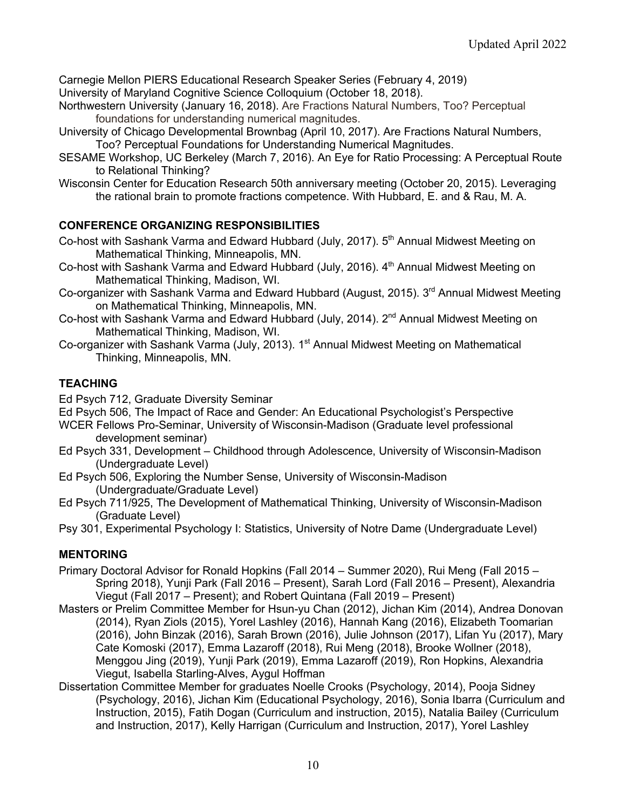Carnegie Mellon PIERS Educational Research Speaker Series (February 4, 2019) University of Maryland Cognitive Science Colloquium (October 18, 2018).

- Northwestern University (January 16, 2018). Are Fractions Natural Numbers, Too? Perceptual foundations for understanding numerical magnitudes.
- University of Chicago Developmental Brownbag (April 10, 2017). Are Fractions Natural Numbers, Too? Perceptual Foundations for Understanding Numerical Magnitudes.
- SESAME Workshop, UC Berkeley (March 7, 2016). An Eye for Ratio Processing: A Perceptual Route to Relational Thinking?
- Wisconsin Center for Education Research 50th anniversary meeting (October 20, 2015). Leveraging the rational brain to promote fractions competence. With Hubbard, E. and & Rau, M. A.

## **CONFERENCE ORGANIZING RESPONSIBILITIES**

- Co-host with Sashank Varma and Edward Hubbard (July, 2017). 5<sup>th</sup> Annual Midwest Meeting on Mathematical Thinking, Minneapolis, MN.
- Co-host with Sashank Varma and Edward Hubbard (July, 2016). 4<sup>th</sup> Annual Midwest Meeting on Mathematical Thinking, Madison, WI.
- Co-organizer with Sashank Varma and Edward Hubbard (August, 2015). 3<sup>rd</sup> Annual Midwest Meeting on Mathematical Thinking, Minneapolis, MN.
- Co-host with Sashank Varma and Edward Hubbard (July, 2014). 2<sup>nd</sup> Annual Midwest Meeting on Mathematical Thinking, Madison, WI.
- Co-organizer with Sashank Varma (July, 2013). 1<sup>st</sup> Annual Midwest Meeting on Mathematical Thinking, Minneapolis, MN.

# **TEACHING**

Ed Psych 712, Graduate Diversity Seminar

Ed Psych 506, The Impact of Race and Gender: An Educational Psychologist's Perspective

- WCER Fellows Pro-Seminar, University of Wisconsin-Madison (Graduate level professional development seminar)
- Ed Psych 331, Development Childhood through Adolescence, University of Wisconsin-Madison (Undergraduate Level)
- Ed Psych 506, Exploring the Number Sense, University of Wisconsin-Madison (Undergraduate/Graduate Level)
- Ed Psych 711/925, The Development of Mathematical Thinking, University of Wisconsin-Madison (Graduate Level)
- Psy 301, Experimental Psychology I: Statistics, University of Notre Dame (Undergraduate Level)

# **MENTORING**

- Primary Doctoral Advisor for Ronald Hopkins (Fall 2014 Summer 2020), Rui Meng (Fall 2015 Spring 2018), Yunji Park (Fall 2016 – Present), Sarah Lord (Fall 2016 – Present), Alexandria Viegut (Fall 2017 – Present); and Robert Quintana (Fall 2019 – Present)
- Masters or Prelim Committee Member for Hsun-yu Chan (2012), Jichan Kim (2014), Andrea Donovan (2014), Ryan Ziols (2015), Yorel Lashley (2016), Hannah Kang (2016), Elizabeth Toomarian (2016), John Binzak (2016), Sarah Brown (2016), Julie Johnson (2017), Lifan Yu (2017), Mary Cate Komoski (2017), Emma Lazaroff (2018), Rui Meng (2018), Brooke Wollner (2018), Menggou Jing (2019), Yunji Park (2019), Emma Lazaroff (2019), Ron Hopkins, Alexandria Viegut, Isabella Starling-Alves, Aygul Hoffman
- Dissertation Committee Member for graduates Noelle Crooks (Psychology, 2014), Pooja Sidney (Psychology, 2016), Jichan Kim (Educational Psychology, 2016), Sonia Ibarra (Curriculum and Instruction, 2015), Fatih Dogan (Curriculum and instruction, 2015), Natalia Bailey (Curriculum and Instruction, 2017), Kelly Harrigan (Curriculum and Instruction, 2017), Yorel Lashley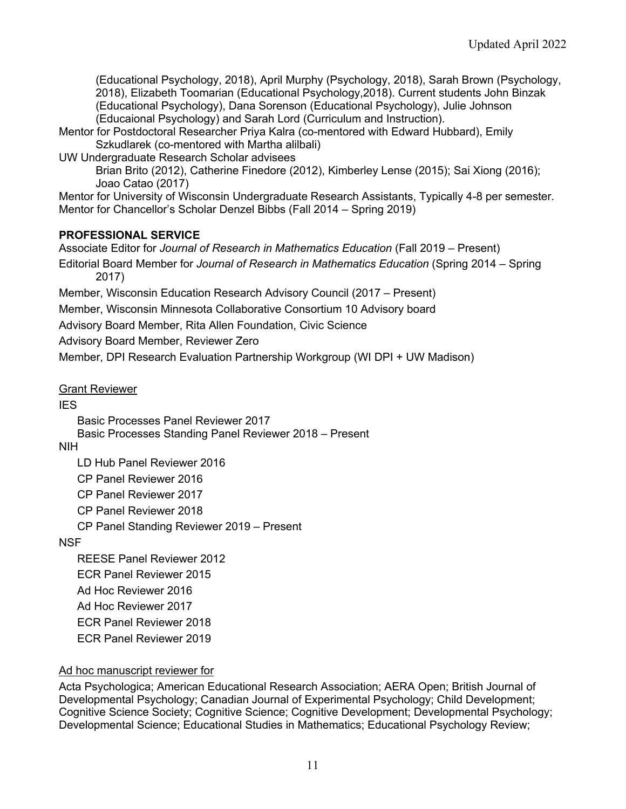(Educational Psychology, 2018), April Murphy (Psychology, 2018), Sarah Brown (Psychology, 2018), Elizabeth Toomarian (Educational Psychology,2018). Current students John Binzak (Educational Psychology), Dana Sorenson (Educational Psychology), Julie Johnson (Educaional Psychology) and Sarah Lord (Curriculum and Instruction).

Mentor for Postdoctoral Researcher Priya Kalra (co-mentored with Edward Hubbard), Emily Szkudlarek (co-mentored with Martha alilbali)

UW Undergraduate Research Scholar advisees

Brian Brito (2012), Catherine Finedore (2012), Kimberley Lense (2015); Sai Xiong (2016); Joao Catao (2017)

Mentor for University of Wisconsin Undergraduate Research Assistants, Typically 4-8 per semester. Mentor for Chancellor's Scholar Denzel Bibbs (Fall 2014 – Spring 2019)

#### **PROFESSIONAL SERVICE**

Associate Editor for *Journal of Research in Mathematics Education* (Fall 2019 – Present) Editorial Board Member for *Journal of Research in Mathematics Education* (Spring 2014 – Spring 2017)

Member, Wisconsin Education Research Advisory Council (2017 – Present)

Member, Wisconsin Minnesota Collaborative Consortium 10 Advisory board

Advisory Board Member, Rita Allen Foundation, Civic Science

Advisory Board Member, Reviewer Zero

Member, DPI Research Evaluation Partnership Workgroup (WI DPI + UW Madison)

Grant Reviewer

**IES** 

Basic Processes Panel Reviewer 2017 Basic Processes Standing Panel Reviewer 2018 – Present

NIH

LD Hub Panel Reviewer 2016

CP Panel Reviewer 2016

CP Panel Reviewer 2017

CP Panel Reviewer 2018

CP Panel Standing Reviewer 2019 – Present

**NSF** 

REESE Panel Reviewer 2012 ECR Panel Reviewer 2015 Ad Hoc Reviewer 2016 Ad Hoc Reviewer 2017 ECR Panel Reviewer 2018 ECR Panel Reviewer 2019

## Ad hoc manuscript reviewer for

Acta Psychologica; American Educational Research Association; AERA Open; British Journal of Developmental Psychology; Canadian Journal of Experimental Psychology; Child Development; Cognitive Science Society; Cognitive Science; Cognitive Development; Developmental Psychology; Developmental Science; Educational Studies in Mathematics; Educational Psychology Review;